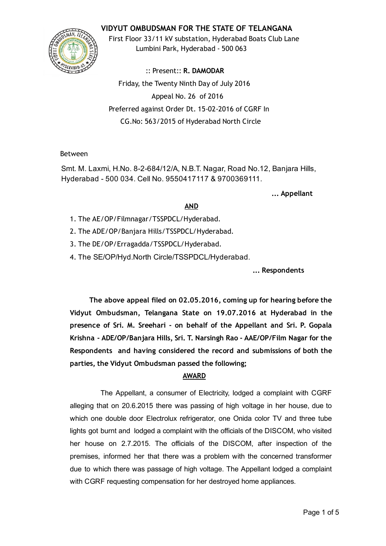# VIDYUT OMBUDSMAN FOR THE STATE OF TELANGANA



First Floor 33/11 kV substation, Hyderabad Boats Club Lane Lumbini Park, Hyderabad ‐ 500 063

:: Present:: R. DAMODAR Friday, the Twenty Ninth Day of July 2016 Appeal No. 26 of 2016 Preferred against Order Dt. 15‐02‐2016 of CGRF In CG.No: 563/2015 of Hyderabad North Circle

### Between

Smt. M. Laxmi, H.No. 8-2-684/12/A, N.B.T. Nagar, Road No.12, Banjara Hills, Hyderabad 500 034. Cell No. 9550417117 & 9700369111.

... Appellant

### AND

- 1. The AE/OP/Filmnagar/TSSPDCL/Hyderabad.
- 2. The ADE/OP/Banjara Hills/TSSPDCL/Hyderabad.
- 3. The DE/OP/Erragadda/TSSPDCL/Hyderabad.
- 4. The SE/OP/Hyd.North Circle/TSSPDCL/Hyderabad.

... Respondents

The above appeal filed on 02.05.2016, coming up for hearing before the Vidyut Ombudsman, Telangana State on 19.07.2016 at Hyderabad in the presence of Sri. M. Sreehari ‐ on behalf of the Appellant and Sri. P. Gopala Krishna ‐ ADE/OP/Banjara Hills, Sri. T. Narsingh Rao ‐ AAE/OP/Film Nagar for the Respondents and having considered the record and submissions of both the parties, the Vidyut Ombudsman passed the following;

### AWARD

The Appellant, a consumer of Electricity, lodged a complaint with CGRF alleging that on 20.6.2015 there was passing of high voltage in her house, due to which one double door Electrolux refrigerator, one Onida color TV and three tube lights got burnt and lodged a complaint with the officials of the DISCOM, who visited her house on 2.7.2015. The officials of the DISCOM, after inspection of the premises, informed her that there was a problem with the concerned transformer due to which there was passage of high voltage. The Appellant lodged a complaint with CGRF requesting compensation for her destroyed home appliances.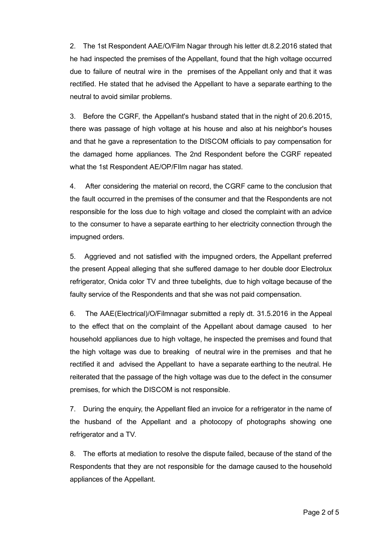2. The 1st Respondent AAE/O/Film Nagar through his letter dt.8.2.2016 stated that he had inspected the premises of the Appellant, found that the high voltage occurred due to failure of neutral wire in the premises of the Appellant only and that it was rectified. He stated that he advised the Appellant to have a separate earthing to the neutral to avoid similar problems.

3. Before the CGRF, the Appellant's husband stated that in the night of 20.6.2015, there was passage of high voltage at his house and also at his neighbor's houses and that he gave a representation to the DISCOM officials to pay compensation for the damaged home appliances. The 2nd Respondent before the CGRF repeated what the 1st Respondent AE/OP/FIlm nagar has stated.

4. After considering the material on record, the CGRF came to the conclusion that the fault occurred in the premises of the consumer and that the Respondents are not responsible for the loss due to high voltage and closed the complaint with an advice to the consumer to have a separate earthing to her electricity connection through the impugned orders.

5. Aggrieved and not satisfied with the impugned orders, the Appellant preferred the present Appeal alleging that she suffered damage to her double door Electrolux refrigerator, Onida color TV and three tubelights, due to high voltage because of the faulty service of the Respondents and that she was not paid compensation.

6. The AAE(Electrical)/O/Filmnagar submitted a reply dt. 31.5.2016 in the Appeal to the effect that on the complaint of the Appellant about damage caused to her household appliances due to high voltage, he inspected the premises and found that the high voltage was due to breaking of neutral wire in the premises and that he rectified it and advised the Appellant to have a separate earthing to the neutral. He reiterated that the passage of the high voltage was due to the defect in the consumer premises, for which the DISCOM is not responsible.

7. During the enquiry, the Appellant filed an invoice for a refrigerator in the name of the husband of the Appellant and a photocopy of photographs showing one refrigerator and a TV.

8. The efforts at mediation to resolve the dispute failed, because of the stand of the Respondents that they are not responsible for the damage caused to the household appliances of the Appellant.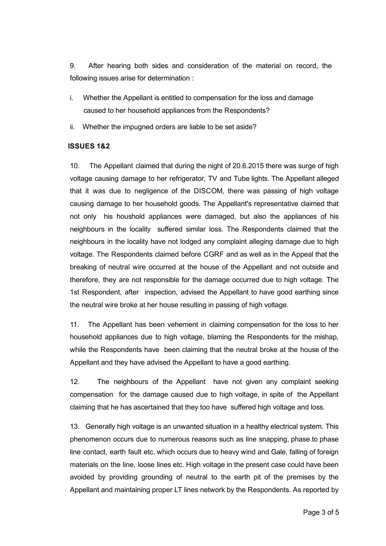9. After hearing both sides and consideration of the material on record, the following issues arise for determination :

- i. Whether the Appellant is entitled to compensation for the loss and damage caused to her household appliances from the Respondents?
- ii. Whether the impugned orders are liable to be set aside?

#### ISSUES 1&2

10. The Appellant claimed that during the night of 20.6.2015 there was surge of high voltage causing damage to her refrigerator, TV and Tube lights. The Appellant alleged that it was due to negligence of the DISCOM, there was passing of high voltage causing damage to her household goods. The Appellant's representative claimed that not only his houshold appliances were damaged, but also the appliances of his neighbours in the locality suffered similar loss. The Respondents claimed that the neighbours in the locality have not lodged any complaint alleging damage due to high voltage. The Respondents claimed before CGRF and as well as in the Appeal that the breaking of neutral wire occurred at the house of the Appellant and not outside and therefore, they are not responsible for the damage occurred due to high voltage. The 1st Respondent, after inspection, advised the Appellant to have good earthing since the neutral wire broke at her house resulting in passing of high voltage.

11. The Appellant has been vehement in claiming compensation for the loss to her household appliances due to high voltage, blaming the Respondents for the mishap, while the Respondents have been claiming that the neutral broke at the house of the Appellant and they have advised the Appellant to have a good earthing.

12. The neighbours of the Appellant have not given any complaint seeking compensation for the damage caused due to high voltage, in spite of the Appellant claiming that he has ascertained that they too have suffered high voltage and loss.

13. Generally high voltage is an unwanted situation in a healthy electrical system. This phenomenon occurs due to numerous reasons such as line snapping, phase to phase line contact, earth fault etc, which occurs due to heavy wind and Gale, falling of foreign materials on the line, loose lines etc. High voltage in the present case could have been avoided by providing grounding of neutral to the earth pit of the premises by the Appellant and maintaining proper LT lines network by the Respondents. As reported by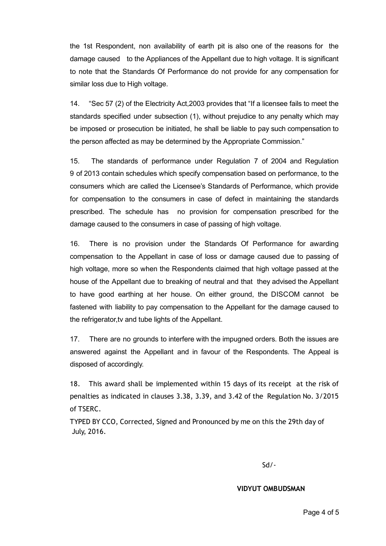the 1st Respondent, non availability of earth pit is also one of the reasons for the damage caused to the Appliances of the Appellant due to high voltage. It is significant to note that the Standards Of Performance do not provide for any compensation for similar loss due to High voltage.

14. "Sec 57 (2) of the Electricity Act,2003 provides that "If a licensee fails to meet the standards specified under subsection (1), without prejudice to any penalty which may be imposed or prosecution be initiated, he shall be liable to pay such compensation to the person affected as may be determined by the Appropriate Commission."

15. The standards of performance under Regulation 7 of 2004 and Regulation 9 of 2013 contain schedules which specify compensation based on performance, to the consumers which are called the Licensee's Standards of Performance, which provide for compensation to the consumers in case of defect in maintaining the standards prescribed. The schedule has no provision for compensation prescribed for the damage caused to the consumers in case of passing of high voltage.

16. There is no provision under the Standards Of Performance for awarding compensation to the Appellant in case of loss or damage caused due to passing of high voltage, more so when the Respondents claimed that high voltage passed at the house of the Appellant due to breaking of neutral and that they advised the Appellant to have good earthing at her house. On either ground, the DISCOM cannot be fastened with liability to pay compensation to the Appellant for the damage caused to the refrigerator,tv and tube lights of the Appellant.

17. There are no grounds to interfere with the impugned orders. Both the issues are answered against the Appellant and in favour of the Respondents. The Appeal is disposed of accordingly.

18. This award shall be implemented within 15 days of its receipt at the risk of penalties as indicated in clauses 3.38, 3.39, and 3.42 of the Regulation No. 3/2015 of TSERC.

TYPED BY CCO, Corrected, Signed and Pronounced by me on this the 29th day of July, 2016.

Sd/‐

#### VIDYUT OMBUDSMAN